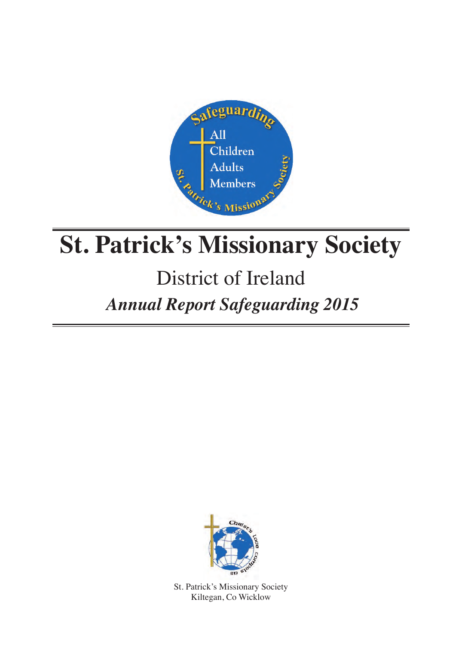

# **St. Patrick's Missionary Society**

## District of Ireland

## *Annual Report Safeguarding 2015*



St. Patrick's Missionary Society Kiltegan, Co Wicklow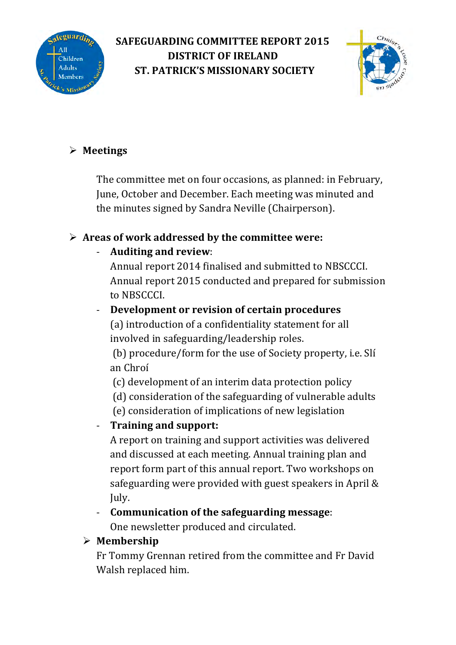

#### **SAFEGUARDING COMMITTEE REPORT 2015 DISTRICT OF IRELAND ST. PATRICK'S MISSIONARY SOCIETY**



#### ! **Meetings**

The committee met on four occasions, as planned: in February, June, October and December. Each meeting was minuted and the minutes signed by Sandra Neville (Chairperson).

#### $\triangleright$  Areas of work addressed by the committee were:

#### Auditing and review:

Annual report 2014 finalised and submitted to NBSCCCI. Annual report 2015 conducted and prepared for submission to NBSCCCI.

#### **Development or revision of certain procedures**

(a) introduction of a confidentiality statement for all involved in safeguarding/leadership roles.

(b) procedure/form for the use of Society property, i.e. Slí an Chroí 

 (c) development of an interim data protection policy

(d) consideration of the safeguarding of vulnerable adults

 (e) consideration of implications of new legislation

#### **Training and support:**

A report on training and support activities was delivered and discussed at each meeting. Annual training plan and report form part of this annual report. Two workshops on safeguarding were provided with guest speakers in April  $\&$ July.

**Communication of the safeguarding message:** One newsletter produced and circulated.

#### ! **Membership**

Fr Tommy Grennan retired from the committee and Fr David Walsh replaced him.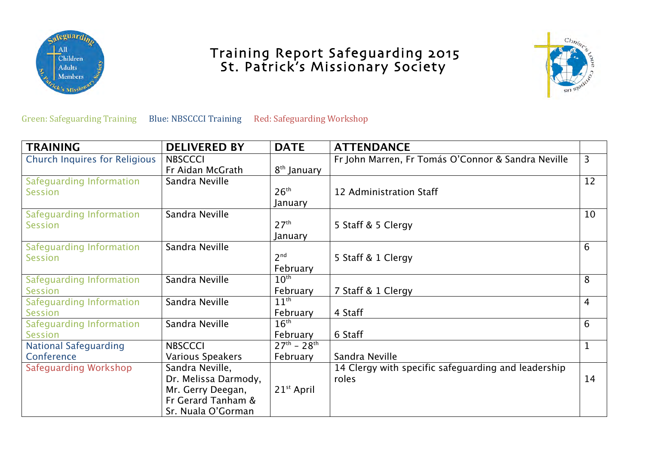

# Training Report Safeguarding 2015<br>St. Patrick's Missionary Society



Green: Safeguarding Training Blue: NBSCCCI Training Red: Safeguarding Workshop

| <b>TRAINING</b>               | <b>DELIVERED BY</b>  | <b>DATE</b>             | <b>ATTENDANCE</b>                                   |                |
|-------------------------------|----------------------|-------------------------|-----------------------------------------------------|----------------|
| Church Inquires for Religious | <b>NBSCCCI</b>       |                         | Fr John Marren, Fr Tomás O'Connor & Sandra Neville  | $\overline{3}$ |
|                               | Fr Aidan McGrath     | 8 <sup>th</sup> January |                                                     |                |
| Safeguarding Information      | Sandra Neville       |                         |                                                     | 12             |
| <b>Session</b>                |                      | 26 <sup>th</sup>        | 12 Administration Staff                             |                |
|                               |                      | January                 |                                                     |                |
| Safeguarding Information      | Sandra Neville       |                         |                                                     | 10             |
| Session                       |                      | 27 <sup>th</sup>        | 5 Staff & 5 Clergy                                  |                |
|                               |                      | January                 |                                                     |                |
| Safeguarding Information      | Sandra Neville       |                         |                                                     | 6              |
| <b>Session</b>                |                      | 2 <sup>nd</sup>         | 5 Staff & 1 Clergy                                  |                |
|                               |                      | February                |                                                     |                |
| Safeguarding Information      | Sandra Neville       | $10^{\text{th}}$        |                                                     | 8              |
| <b>Session</b>                |                      | February                | 7 Staff & 1 Clergy                                  |                |
| Safeguarding Information      | Sandra Neville       | $11^{\text{th}}$        |                                                     | $\overline{4}$ |
| <b>Session</b>                |                      | February                | 4 Staff                                             |                |
| Safeguarding Information      | Sandra Neville       | 16 <sup>th</sup>        |                                                     | 6              |
| <b>Session</b>                |                      | February                | 6 Staff                                             |                |
| <b>National Safeguarding</b>  | <b>NBSCCCI</b>       | $27^{th} - 28^{th}$     |                                                     | $\mathbf{1}$   |
| Conference                    | Various Speakers     | February                | Sandra Neville                                      |                |
| Safeguarding Workshop         | Sandra Neville,      |                         | 14 Clergy with specific safeguarding and leadership |                |
|                               | Dr. Melissa Darmody, |                         | roles                                               | 14             |
|                               | Mr. Gerry Deegan,    | 21 <sup>st</sup> April  |                                                     |                |
|                               | Fr Gerard Tanham &   |                         |                                                     |                |
|                               | Sr. Nuala O'Gorman   |                         |                                                     |                |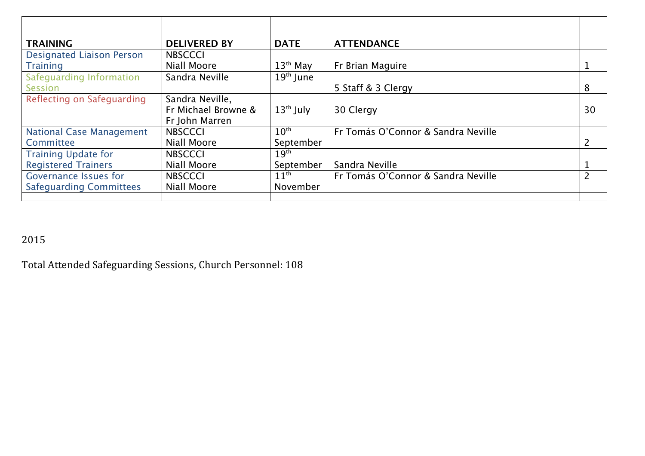| <b>TRAINING</b>                  | <b>DELIVERED BY</b> | <b>DATE</b>          | <b>ATTENDANCE</b>                  |                |
|----------------------------------|---------------------|----------------------|------------------------------------|----------------|
| <b>Designated Liaison Person</b> | <b>NBSCCCI</b>      |                      |                                    |                |
| <b>Training</b>                  | <b>Niall Moore</b>  | $13th$ May           | Fr Brian Maguire                   |                |
| Safeguarding Information         | Sandra Neville      | $19th$ June          |                                    |                |
| <b>Session</b>                   |                     |                      | 5 Staff & 3 Clergy                 | 8              |
| Reflecting on Safeguarding       | Sandra Neville,     |                      |                                    |                |
|                                  | Fr Michael Browne & | $13th$ July          | 30 Clergy                          | 30             |
|                                  | Fr John Marren      |                      |                                    |                |
| <b>National Case Management</b>  | <b>NBSCCCI</b>      | $10^{\overline{th}}$ | Fr Tomás O'Connor & Sandra Neville |                |
| Committee                        | Niall Moore         | September            |                                    | 2              |
| <b>Training Update for</b>       | <b>NBSCCCI</b>      | 19 <sup>th</sup>     |                                    |                |
| <b>Registered Trainers</b>       | <b>Niall Moore</b>  | September            | Sandra Neville                     |                |
| <b>Governance Issues for</b>     | <b>NBSCCCI</b>      | $11^{\text{th}}$     | Fr Tomás O'Connor & Sandra Neville | $\overline{2}$ |
| <b>Safeguarding Committees</b>   | Niall Moore         | November             |                                    |                |
|                                  |                     |                      |                                    |                |

#### 2015

Total Attended Safeguarding Sessions, Church Personnel: 108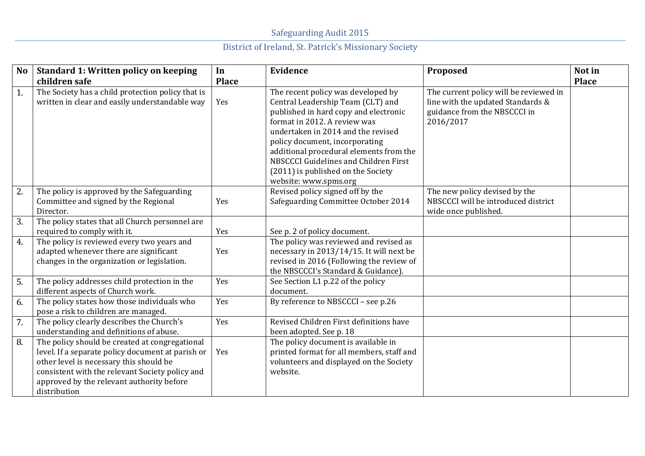| No.              | <b>Standard 1: Written policy on keeping</b>                                                                                                                                                                                                                   | In           | <b>Evidence</b>                                                                                                                                                                                                                                                                                                                                                             | Proposed                                                                                                                 | Not in       |
|------------------|----------------------------------------------------------------------------------------------------------------------------------------------------------------------------------------------------------------------------------------------------------------|--------------|-----------------------------------------------------------------------------------------------------------------------------------------------------------------------------------------------------------------------------------------------------------------------------------------------------------------------------------------------------------------------------|--------------------------------------------------------------------------------------------------------------------------|--------------|
|                  | children safe                                                                                                                                                                                                                                                  | <b>Place</b> |                                                                                                                                                                                                                                                                                                                                                                             |                                                                                                                          | <b>Place</b> |
| 1.               | The Society has a child protection policy that is<br>written in clear and easily understandable way                                                                                                                                                            | Yes          | The recent policy was developed by<br>Central Leadership Team (CLT) and<br>published in hard copy and electronic<br>format in 2012. A review was<br>undertaken in 2014 and the revised<br>policy document, incorporating<br>additional procedural elements from the<br>NBSCCCI Guidelines and Children First<br>(2011) is published on the Society<br>website: www.spms.org | The current policy will be reviewed in<br>line with the updated Standards &<br>guidance from the NBSCCCI in<br>2016/2017 |              |
| 2.               | The policy is approved by the Safeguarding<br>Committee and signed by the Regional<br>Director.                                                                                                                                                                | Yes          | Revised policy signed off by the<br>Safeguarding Committee October 2014                                                                                                                                                                                                                                                                                                     | The new policy devised by the<br>NBSCCCI will be introduced district<br>wide once published.                             |              |
| 3.               | The policy states that all Church personnel are                                                                                                                                                                                                                |              |                                                                                                                                                                                                                                                                                                                                                                             |                                                                                                                          |              |
|                  | required to comply with it.                                                                                                                                                                                                                                    | Yes          | See p. 2 of policy document.                                                                                                                                                                                                                                                                                                                                                |                                                                                                                          |              |
| 4.               | The policy is reviewed every two years and<br>adapted whenever there are significant<br>changes in the organization or legislation.                                                                                                                            | Yes          | The policy was reviewed and revised as<br>necessary in 2013/14/15. It will next be<br>revised in 2016 (Following the review of<br>the NBSCCCI's Standard & Guidance).                                                                                                                                                                                                       |                                                                                                                          |              |
| 5.               | The policy addresses child protection in the<br>different aspects of Church work.                                                                                                                                                                              | Yes          | See Section L1 p.22 of the policy<br>document.                                                                                                                                                                                                                                                                                                                              |                                                                                                                          |              |
| 6.               | The policy states how those individuals who<br>pose a risk to children are managed.                                                                                                                                                                            | Yes          | By reference to NBSCCCI - see p.26                                                                                                                                                                                                                                                                                                                                          |                                                                                                                          |              |
| $\overline{7}$ . | The policy clearly describes the Church's<br>understanding and definitions of abuse.                                                                                                                                                                           | Yes          | Revised Children First definitions have<br>been adopted. See p. 18                                                                                                                                                                                                                                                                                                          |                                                                                                                          |              |
| 8.               | The policy should be created at congregational<br>level. If a separate policy document at parish or<br>other level is necessary this should be<br>consistent with the relevant Society policy and<br>approved by the relevant authority before<br>distribution | Yes          | The policy document is available in<br>printed format for all members, staff and<br>volunteers and displayed on the Society<br>website.                                                                                                                                                                                                                                     |                                                                                                                          |              |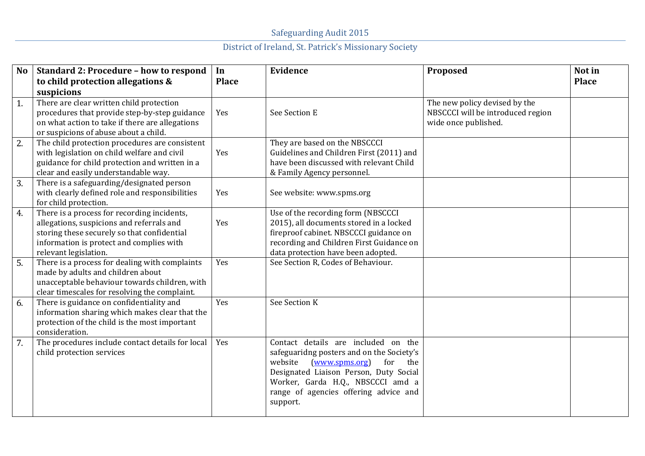| N <sub>o</sub> | <b>Standard 2: Procedure - how to respond</b>                                                                                                                                                                | In           | <b>Evidence</b>                                                                                                                                                                                                                                                 | Proposed                                                                                   | Not in       |
|----------------|--------------------------------------------------------------------------------------------------------------------------------------------------------------------------------------------------------------|--------------|-----------------------------------------------------------------------------------------------------------------------------------------------------------------------------------------------------------------------------------------------------------------|--------------------------------------------------------------------------------------------|--------------|
|                | to child protection allegations &<br>suspicions                                                                                                                                                              | <b>Place</b> |                                                                                                                                                                                                                                                                 |                                                                                            | <b>Place</b> |
| 1.             | There are clear written child protection<br>procedures that provide step-by-step guidance<br>on what action to take if there are allegations<br>or suspicions of abuse about a child.                        | Yes          | See Section E                                                                                                                                                                                                                                                   | The new policy devised by the<br>NBSCCCI will be introduced region<br>wide once published. |              |
| 2.             | The child protection procedures are consistent<br>with legislation on child welfare and civil<br>guidance for child protection and written in a<br>clear and easily understandable way.                      | Yes          | They are based on the NBSCCCI<br>Guidelines and Children First (2011) and<br>have been discussed with relevant Child<br>& Family Agency personnel.                                                                                                              |                                                                                            |              |
| 3.             | There is a safeguarding/designated person<br>with clearly defined role and responsibilities<br>for child protection.                                                                                         | Yes          | See website: www.spms.org                                                                                                                                                                                                                                       |                                                                                            |              |
| 4.             | There is a process for recording incidents,<br>allegations, suspicions and referrals and<br>storing these securely so that confidential<br>information is protect and complies with<br>relevant legislation. | Yes          | Use of the recording form (NBSCCCI<br>2015), all documents stored in a locked<br>fireproof cabinet. NBSCCCI guidance on<br>recording and Children First Guidance on<br>data protection have been adopted.                                                       |                                                                                            |              |
| 5.             | There is a process for dealing with complaints<br>made by adults and children about<br>unacceptable behaviour towards children, with<br>clear timescales for resolving the complaint.                        | Yes          | See Section R, Codes of Behaviour.                                                                                                                                                                                                                              |                                                                                            |              |
| 6.             | There is guidance on confidentiality and<br>information sharing which makes clear that the<br>protection of the child is the most important<br>consideration.                                                | Yes          | See Section K                                                                                                                                                                                                                                                   |                                                                                            |              |
| 7.             | The procedures include contact details for local<br>child protection services                                                                                                                                | Yes          | Contact details are included on the<br>safeguaridng posters and on the Society's<br>website<br>(www.spms.org)<br>for<br>the<br>Designated Liaison Person, Duty Social<br>Worker, Garda H.Q., NBSCCCI amd a<br>range of agencies offering advice and<br>support. |                                                                                            |              |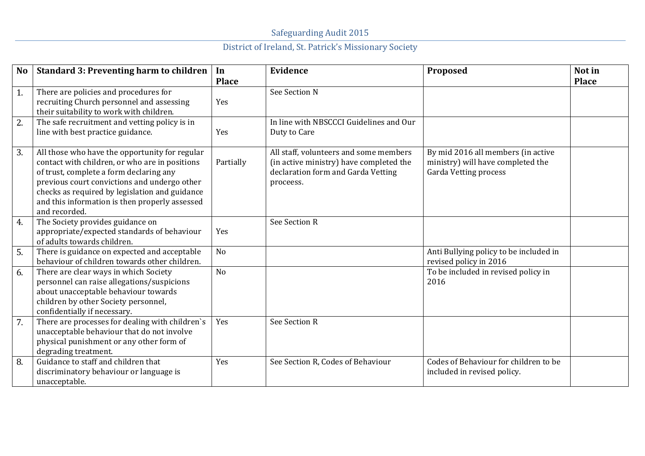| <b>No</b>        | <b>Standard 3: Preventing harm to children</b>                                                                                                                                                                                                                                                                   | In<br><b>Place</b> | Evidence                                                                                                                             | Proposed                                                                                                | Not in<br><b>Place</b> |
|------------------|------------------------------------------------------------------------------------------------------------------------------------------------------------------------------------------------------------------------------------------------------------------------------------------------------------------|--------------------|--------------------------------------------------------------------------------------------------------------------------------------|---------------------------------------------------------------------------------------------------------|------------------------|
| 1.               | There are policies and procedures for<br>recruiting Church personnel and assessing<br>their suitability to work with children.                                                                                                                                                                                   | Yes                | See Section N                                                                                                                        |                                                                                                         |                        |
| 2.               | The safe recruitment and vetting policy is in<br>line with best practice guidance.                                                                                                                                                                                                                               | Yes                | In line with NBSCCCI Guidelines and Our<br>Duty to Care                                                                              |                                                                                                         |                        |
| 3.               | All those who have the opportunity for regular<br>contact with children, or who are in positions<br>of trust, complete a form declaring any<br>previous court convictions and undergo other<br>checks as required by legislation and guidance<br>and this information is then properly assessed<br>and recorded. | Partially          | All staff, volunteers and some members<br>(in active ministry) have completed the<br>declaration form and Garda Vetting<br>proceess. | By mid 2016 all members (in active<br>ministry) will have completed the<br><b>Garda Vetting process</b> |                        |
| 4.               | The Society provides guidance on<br>appropriate/expected standards of behaviour<br>of adults towards children.                                                                                                                                                                                                   | Yes                | See Section R                                                                                                                        |                                                                                                         |                        |
| 5.               | There is guidance on expected and acceptable<br>behaviour of children towards other children.                                                                                                                                                                                                                    | No                 |                                                                                                                                      | Anti Bullying policy to be included in<br>revised policy in 2016                                        |                        |
| 6.               | There are clear ways in which Society<br>personnel can raise allegations/suspicions<br>about unacceptable behaviour towards<br>children by other Society personnel,<br>confidentially if necessary.                                                                                                              | N <sub>o</sub>     |                                                                                                                                      | To be included in revised policy in<br>2016                                                             |                        |
| $\overline{7}$ . | There are processes for dealing with children's<br>unacceptable behaviour that do not involve<br>physical punishment or any other form of<br>degrading treatment.                                                                                                                                                | Yes                | See Section R                                                                                                                        |                                                                                                         |                        |
| 8.               | Guidance to staff and children that<br>discriminatory behaviour or language is<br>unacceptable.                                                                                                                                                                                                                  | Yes                | See Section R, Codes of Behaviour                                                                                                    | Codes of Behaviour for children to be<br>included in revised policy.                                    |                        |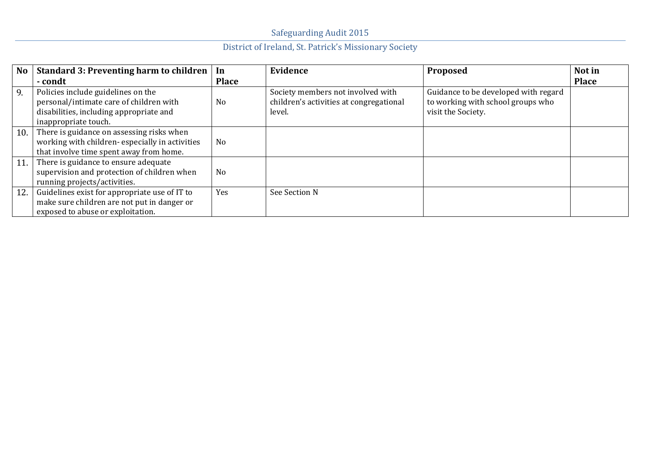| <b>No</b> | <b>Standard 3: Preventing harm to children</b>                                                                                                   | In             | Evidence                                                                               | <b>Proposed</b>                                                                                 | Not in       |
|-----------|--------------------------------------------------------------------------------------------------------------------------------------------------|----------------|----------------------------------------------------------------------------------------|-------------------------------------------------------------------------------------------------|--------------|
|           | - condt                                                                                                                                          | <b>Place</b>   |                                                                                        |                                                                                                 | <b>Place</b> |
| 9.        | Policies include guidelines on the<br>personal/intimate care of children with<br>disabilities, including appropriate and<br>inappropriate touch. | N <sub>0</sub> | Society members not involved with<br>children's activities at congregational<br>level. | Guidance to be developed with regard<br>to working with school groups who<br>visit the Society. |              |
| 10.       | There is guidance on assessing risks when<br>working with children-especially in activities<br>that involve time spent away from home.           | N <sub>o</sub> |                                                                                        |                                                                                                 |              |
| 11.       | There is guidance to ensure adequate<br>supervision and protection of children when<br>running projects/activities.                              | No             |                                                                                        |                                                                                                 |              |
| 12.       | Guidelines exist for appropriate use of IT to<br>make sure children are not put in danger or<br>exposed to abuse or exploitation.                | Yes            | See Section N                                                                          |                                                                                                 |              |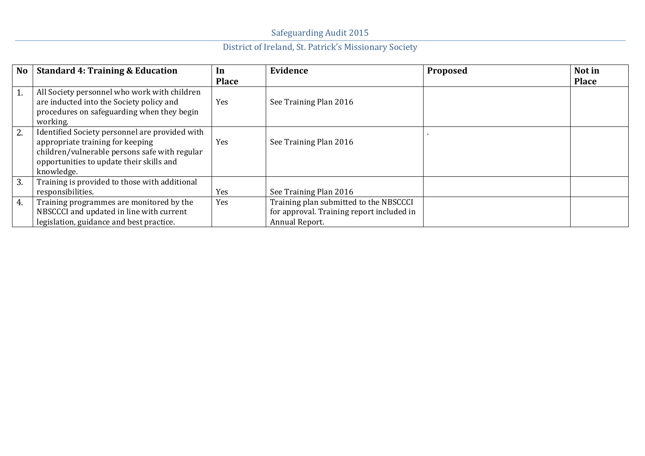| N <sub>o</sub> | <b>Standard 4: Training &amp; Education</b>                                                                                                                                                   | In           | Evidence                                                                                              | <b>Proposed</b> | Not in       |
|----------------|-----------------------------------------------------------------------------------------------------------------------------------------------------------------------------------------------|--------------|-------------------------------------------------------------------------------------------------------|-----------------|--------------|
|                |                                                                                                                                                                                               | <b>Place</b> |                                                                                                       |                 | <b>Place</b> |
| 1.             | All Society personnel who work with children<br>are inducted into the Society policy and<br>procedures on safeguarding when they begin<br>working.                                            | Yes          | See Training Plan 2016                                                                                |                 |              |
| 2.             | Identified Society personnel are provided with<br>appropriate training for keeping<br>children/vulnerable persons safe with regular<br>opportunities to update their skills and<br>knowledge. | Yes          | See Training Plan 2016                                                                                |                 |              |
| 3.             | Training is provided to those with additional<br>responsibilities.                                                                                                                            | Yes          | See Training Plan 2016                                                                                |                 |              |
| 4.             | Training programmes are monitored by the<br>NBSCCCI and updated in line with current<br>legislation, guidance and best practice.                                                              | Yes          | Training plan submitted to the NBSCCCI<br>for approval. Training report included in<br>Annual Report. |                 |              |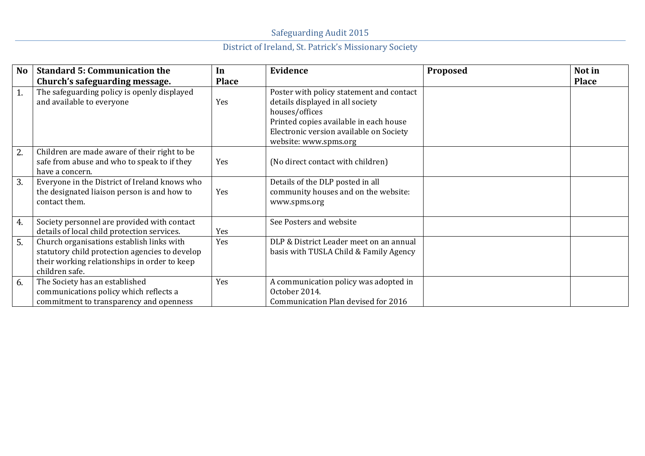| <b>No</b> | <b>Standard 5: Communication the</b>                                                                                                                          | In           | Evidence                                                                                                                                                                                                     | Proposed | Not in       |
|-----------|---------------------------------------------------------------------------------------------------------------------------------------------------------------|--------------|--------------------------------------------------------------------------------------------------------------------------------------------------------------------------------------------------------------|----------|--------------|
|           | Church's safeguarding message.                                                                                                                                | <b>Place</b> |                                                                                                                                                                                                              |          | <b>Place</b> |
| 1.        | The safeguarding policy is openly displayed<br>and available to everyone                                                                                      | Yes          | Poster with policy statement and contact<br>details displayed in all society<br>houses/offices<br>Printed copies available in each house<br>Electronic version available on Society<br>website: www.spms.org |          |              |
| 2.        | Children are made aware of their right to be<br>safe from abuse and who to speak to if they<br>have a concern.                                                | Yes          | (No direct contact with children)                                                                                                                                                                            |          |              |
| 3.        | Everyone in the District of Ireland knows who<br>the designated liaison person is and how to<br>contact them.                                                 | Yes          | Details of the DLP posted in all<br>community houses and on the website:<br>www.spms.org                                                                                                                     |          |              |
| 4.        | Society personnel are provided with contact<br>details of local child protection services.                                                                    | Yes          | See Posters and website                                                                                                                                                                                      |          |              |
| 5.        | Church organisations establish links with<br>statutory child protection agencies to develop<br>their working relationships in order to keep<br>children safe. | Yes          | DLP & District Leader meet on an annual<br>basis with TUSLA Child & Family Agency                                                                                                                            |          |              |
| 6.        | The Society has an established<br>communications policy which reflects a<br>commitment to transparency and openness                                           | Yes          | A communication policy was adopted in<br>October 2014.<br>Communication Plan devised for 2016                                                                                                                |          |              |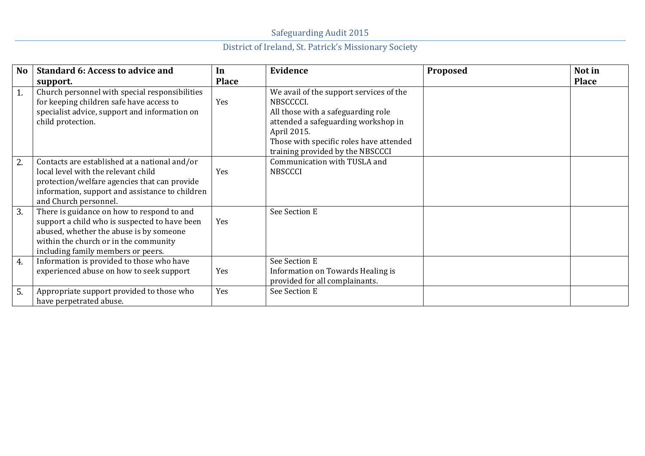| <b>No</b> | <b>Standard 6: Access to advice and</b>                                                                                                                                                                               | In           | Evidence                                                                                                                                                                                                                        | Proposed | Not in       |
|-----------|-----------------------------------------------------------------------------------------------------------------------------------------------------------------------------------------------------------------------|--------------|---------------------------------------------------------------------------------------------------------------------------------------------------------------------------------------------------------------------------------|----------|--------------|
|           | support.                                                                                                                                                                                                              | <b>Place</b> |                                                                                                                                                                                                                                 |          | <b>Place</b> |
| 1.        | Church personnel with special responsibilities<br>for keeping children safe have access to<br>specialist advice, support and information on<br>child protection.                                                      | Yes          | We avail of the support services of the<br>NBSCCCCI.<br>All those with a safeguarding role<br>attended a safeguarding workshop in<br>April 2015.<br>Those with specific roles have attended<br>training provided by the NBSCCCI |          |              |
| 2.        | Contacts are established at a national and/or<br>local level with the relevant child<br>protection/welfare agencies that can provide<br>information, support and assistance to children<br>and Church personnel.      | Yes          | Communication with TUSLA and<br><b>NBSCCCI</b>                                                                                                                                                                                  |          |              |
| 3.        | There is guidance on how to respond to and<br>support a child who is suspected to have been<br>abused, whether the abuse is by someone<br>within the church or in the community<br>including family members or peers. | Yes          | See Section E                                                                                                                                                                                                                   |          |              |
| 4.        | Information is provided to those who have<br>experienced abuse on how to seek support                                                                                                                                 | Yes          | See Section E<br>Information on Towards Healing is<br>provided for all complainants.                                                                                                                                            |          |              |
| 5.        | Appropriate support provided to those who<br>have perpetrated abuse.                                                                                                                                                  | Yes          | See Section E                                                                                                                                                                                                                   |          |              |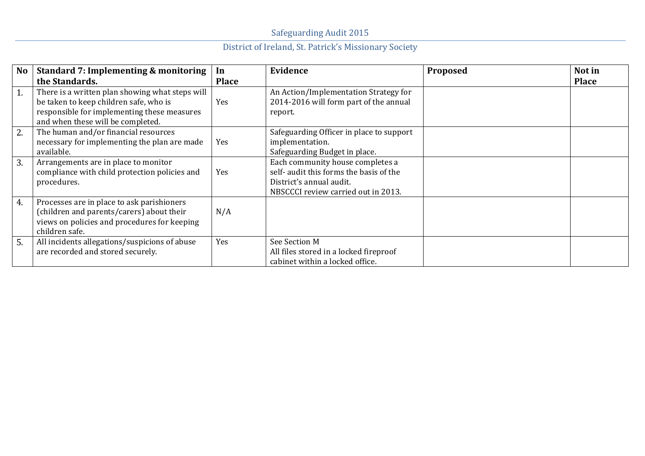| <b>No</b> | <b>Standard 7: Implementing &amp; monitoring</b><br>the Standards.                                                                                                            | In<br><b>Place</b> | Evidence                                                                                                                                       | <b>Proposed</b> | Not in<br><b>Place</b> |
|-----------|-------------------------------------------------------------------------------------------------------------------------------------------------------------------------------|--------------------|------------------------------------------------------------------------------------------------------------------------------------------------|-----------------|------------------------|
| 1.        | There is a written plan showing what steps will<br>be taken to keep children safe, who is<br>responsible for implementing these measures<br>and when these will be completed. | Yes                | An Action/Implementation Strategy for<br>2014-2016 will form part of the annual<br>report.                                                     |                 |                        |
| 2.        | The human and/or financial resources<br>necessary for implementing the plan are made<br>available.                                                                            | Yes                | Safeguarding Officer in place to support<br>implementation.<br>Safeguarding Budget in place.                                                   |                 |                        |
| 3.        | Arrangements are in place to monitor<br>compliance with child protection policies and<br>procedures.                                                                          | Yes                | Each community house completes a<br>self- audit this forms the basis of the<br>District's annual audit.<br>NBSCCCI review carried out in 2013. |                 |                        |
| 4.        | Processes are in place to ask parishioners<br>(children and parents/carers) about their<br>views on policies and procedures for keeping<br>children safe.                     | N/A                |                                                                                                                                                |                 |                        |
| 5.        | All incidents allegations/suspicions of abuse<br>are recorded and stored securely.                                                                                            | Yes                | See Section M<br>All files stored in a locked fireproof<br>cabinet within a locked office.                                                     |                 |                        |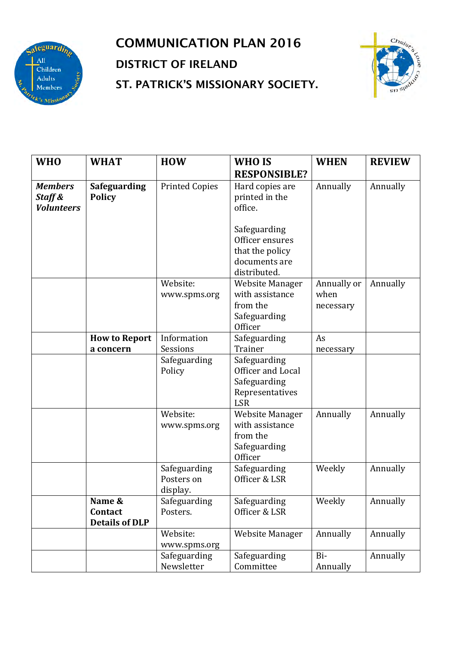

## COMMUNICATION PLAN 2016 DISTRICT OF IRELAND ST. PATRICK'S MISSIONARY SOCIETY.



| <b>WHO</b>                                     | <b>WHAT</b>                                | <b>HOW</b>                             | WHO IS                                                                              | <b>WHEN</b>                      | <b>REVIEW</b> |  |
|------------------------------------------------|--------------------------------------------|----------------------------------------|-------------------------------------------------------------------------------------|----------------------------------|---------------|--|
|                                                |                                            |                                        | <b>RESPONSIBLE?</b>                                                                 |                                  |               |  |
| <b>Members</b><br>Staff &<br><b>Volunteers</b> | <b>Safeguarding</b><br><b>Policy</b>       | <b>Printed Copies</b>                  | Hard copies are<br>printed in the<br>office.                                        | Annually                         | Annually      |  |
|                                                |                                            |                                        | Safeguarding<br>Officer ensures<br>that the policy<br>documents are<br>distributed. |                                  |               |  |
|                                                |                                            | Website:<br>www.spms.org               | <b>Website Manager</b><br>with assistance<br>from the<br>Safeguarding<br>Officer    | Annually or<br>when<br>necessary | Annually      |  |
|                                                | <b>How to Report</b>                       | Information                            | Safeguarding                                                                        | As                               |               |  |
|                                                | a concern                                  | Sessions                               | Trainer                                                                             | necessary                        |               |  |
|                                                |                                            | Safeguarding<br>Policy                 | Safeguarding<br>Officer and Local<br>Safeguarding<br>Representatives<br><b>LSR</b>  |                                  |               |  |
|                                                |                                            | Website:<br>www.spms.org               | <b>Website Manager</b><br>with assistance<br>from the<br>Safeguarding<br>Officer    | Annually                         | Annually      |  |
|                                                |                                            | Safeguarding<br>Posters on<br>display. | Safeguarding<br>Officer & LSR                                                       | Weekly                           | Annually      |  |
|                                                | Name &<br>Contact<br><b>Details of DLP</b> | Safeguarding<br>Posters.               | Safeguarding<br>Officer & LSR                                                       | Weekly                           | Annually      |  |
|                                                |                                            | Website:<br>www.spms.org               | <b>Website Manager</b>                                                              | Annually                         | Annually      |  |
|                                                |                                            | Safeguarding<br>Newsletter             | Safeguarding<br>Committee                                                           | Bi-<br>Annually                  | Annually      |  |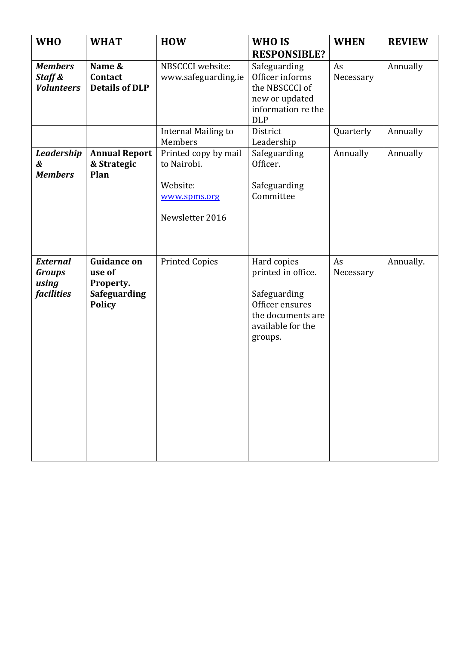| <b>WHO</b>                                                     | <b>WHAT</b>                                                                       | <b>HOW</b>                                                                         | WHO IS                                                                                                                    | <b>WHEN</b>                  | <b>REVIEW</b>        |
|----------------------------------------------------------------|-----------------------------------------------------------------------------------|------------------------------------------------------------------------------------|---------------------------------------------------------------------------------------------------------------------------|------------------------------|----------------------|
|                                                                |                                                                                   |                                                                                    | <b>RESPONSIBLE?</b>                                                                                                       |                              |                      |
| <b>Members</b><br>Staff &<br><b>Volunteers</b>                 | Name &<br>Contact<br><b>Details of DLP</b>                                        | NBSCCCI website:<br>www.safeguarding.ie<br><b>Internal Mailing to</b><br>Members   | Safeguarding<br>Officer informs<br>the NBSCCCI of<br>new or updated<br>information re the<br><b>DLP</b><br>District       | As<br>Necessary<br>Quarterly | Annually<br>Annually |
| <b>Leadership</b><br>&<br><b>Members</b>                       | <b>Annual Report</b><br>& Strategic<br>Plan                                       | Printed copy by mail<br>to Nairobi.<br>Website:<br>www.spms.org<br>Newsletter 2016 | Leadership<br>Safeguarding<br>Officer.<br>Safeguarding<br>Committee                                                       | Annually                     | Annually             |
| <b>External</b><br><b>Groups</b><br>using<br><i>facilities</i> | <b>Guidance on</b><br>use of<br>Property.<br><b>Safeguarding</b><br><b>Policy</b> | <b>Printed Copies</b>                                                              | Hard copies<br>printed in office.<br>Safeguarding<br>Officer ensures<br>the documents are<br>available for the<br>groups. | As<br>Necessary              | Annually.            |
|                                                                |                                                                                   |                                                                                    |                                                                                                                           |                              |                      |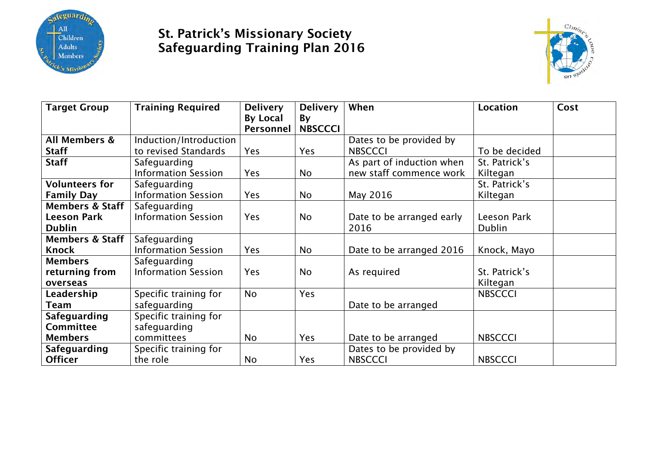

#### St. Patrick's Missionary Society Safeguarding Training Plan 2016



| <b>Target Group</b>        | <b>Training Required</b>   | <b>Delivery</b> | <b>Delivery</b> | When                      | <b>Location</b> | Cost |
|----------------------------|----------------------------|-----------------|-----------------|---------------------------|-----------------|------|
|                            |                            | <b>By Local</b> | By              |                           |                 |      |
|                            |                            | Personnel       | <b>NBSCCCI</b>  |                           |                 |      |
| All Members &              | Induction/Introduction     |                 |                 | Dates to be provided by   |                 |      |
| <b>Staff</b>               | to revised Standards       | <b>Yes</b>      | <b>Yes</b>      | <b>NBSCCCI</b>            | To be decided   |      |
| <b>Staff</b>               | Safeguarding               |                 |                 | As part of induction when | St. Patrick's   |      |
|                            | <b>Information Session</b> | Yes             | No              | new staff commence work   | Kiltegan        |      |
| <b>Volunteers for</b>      | Safeguarding               |                 |                 |                           | St. Patrick's   |      |
| <b>Family Day</b>          | <b>Information Session</b> | <b>Yes</b>      | No              | May 2016                  | Kiltegan        |      |
| <b>Members &amp; Staff</b> | Safeguarding               |                 |                 |                           |                 |      |
| <b>Leeson Park</b>         | <b>Information Session</b> | <b>Yes</b>      | <b>No</b>       | Date to be arranged early | Leeson Park     |      |
| <b>Dublin</b>              |                            |                 |                 | 2016                      | <b>Dublin</b>   |      |
| <b>Members &amp; Staff</b> | Safeguarding               |                 |                 |                           |                 |      |
| <b>Knock</b>               | <b>Information Session</b> | <b>Yes</b>      | No              | Date to be arranged 2016  | Knock, Mayo     |      |
| <b>Members</b>             | Safeguarding               |                 |                 |                           |                 |      |
| returning from             | <b>Information Session</b> | Yes             | <b>No</b>       | As required               | St. Patrick's   |      |
| overseas                   |                            |                 |                 |                           | Kiltegan        |      |
| Leadership                 | Specific training for      | <b>No</b>       | Yes             |                           | <b>NBSCCCI</b>  |      |
| Team                       | safeguarding               |                 |                 | Date to be arranged       |                 |      |
| <b>Safeguarding</b>        | Specific training for      |                 |                 |                           |                 |      |
| <b>Committee</b>           | safeguarding               |                 |                 |                           |                 |      |
| <b>Members</b>             | committees                 | No              | <b>Yes</b>      | Date to be arranged       | <b>NBSCCCI</b>  |      |
| <b>Safeguarding</b>        | Specific training for      |                 |                 | Dates to be provided by   |                 |      |
| <b>Officer</b>             | the role                   | No              | Yes             | <b>NBSCCCI</b>            | <b>NBSCCCI</b>  |      |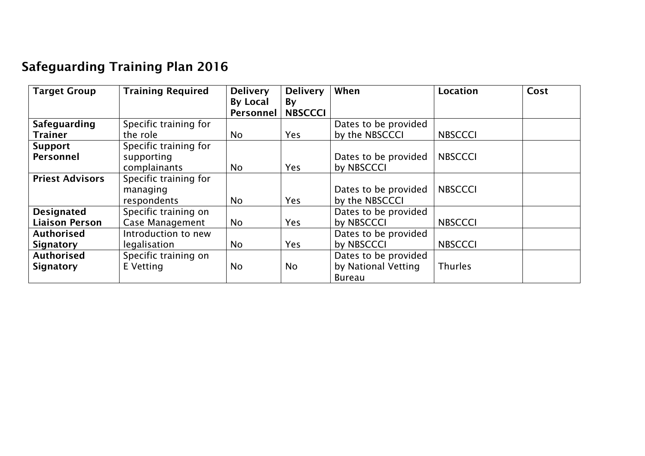## Safeguarding Training Plan 2016

| <b>Target Group</b>    | <b>Training Required</b> | <b>Delivery</b>              | <b>Delivery</b>      | When                 | <b>Location</b> | Cost |
|------------------------|--------------------------|------------------------------|----------------------|----------------------|-----------------|------|
|                        |                          | <b>By Local</b><br>Personnel | By<br><b>NBSCCCI</b> |                      |                 |      |
|                        |                          |                              |                      |                      |                 |      |
| Safeguarding           | Specific training for    |                              |                      | Dates to be provided |                 |      |
| <b>Trainer</b>         | the role                 | No.                          | Yes                  | by the NBSCCCI       | <b>NBSCCCI</b>  |      |
| <b>Support</b>         | Specific training for    |                              |                      |                      |                 |      |
| Personnel              | supporting               |                              |                      | Dates to be provided | <b>NBSCCCI</b>  |      |
|                        | complainants             | No.                          | <b>Yes</b>           | by NBSCCCI           |                 |      |
| <b>Priest Advisors</b> | Specific training for    |                              |                      |                      |                 |      |
|                        | managing                 |                              |                      | Dates to be provided | <b>NBSCCCI</b>  |      |
|                        | respondents              | No.                          | <b>Yes</b>           | by the NBSCCCI       |                 |      |
| <b>Designated</b>      | Specific training on     |                              |                      | Dates to be provided |                 |      |
| <b>Liaison Person</b>  | <b>Case Management</b>   | <b>No</b>                    | <b>Yes</b>           | by NBSCCCI           | <b>NBSCCCI</b>  |      |
| <b>Authorised</b>      | Introduction to new      |                              |                      | Dates to be provided |                 |      |
| Signatory              | legalisation             | No                           | <b>Yes</b>           | by NBSCCCI           | <b>NBSCCCI</b>  |      |
| <b>Authorised</b>      | Specific training on     |                              |                      | Dates to be provided |                 |      |
| <b>Signatory</b>       | E Vetting                | N <sub>o</sub>               | No                   | by National Vetting  | <b>Thurles</b>  |      |
|                        |                          |                              |                      | <b>Bureau</b>        |                 |      |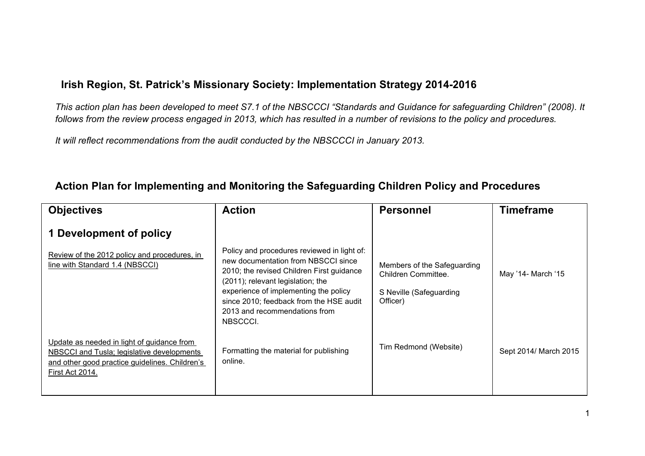#### **Irish Region, St. Patrick's Missionary Society: Implementation Strategy 2014-2016**

*This action plan has been developed to meet S7.1 of the NBSCCCI "Standards and Guidance for safeguarding Children" (2008). It follows from the review process engaged in 2013, which has resulted in a number of revisions to the policy and procedures.*

*It will reflect recommendations from the audit conducted by the NBSCCCI in January 2013.*

| <b>Objectives</b>                                                                                                                                             | <b>Action</b>                                                                                                                                                                                                                                                                                         | <b>Personnel</b>                                                                          | <b>Timeframe</b>      |
|---------------------------------------------------------------------------------------------------------------------------------------------------------------|-------------------------------------------------------------------------------------------------------------------------------------------------------------------------------------------------------------------------------------------------------------------------------------------------------|-------------------------------------------------------------------------------------------|-----------------------|
| 1 Development of policy                                                                                                                                       |                                                                                                                                                                                                                                                                                                       |                                                                                           |                       |
| Review of the 2012 policy and procedures, in<br>line with Standard 1.4 (NBSCCI)                                                                               | Policy and procedures reviewed in light of:<br>new documentation from NBSCCI since<br>2010; the revised Children First guidance<br>(2011); relevant legislation; the<br>experience of implementing the policy<br>since 2010; feedback from the HSE audit<br>2013 and recommendations from<br>NBSCCCI. | Members of the Safeguarding<br>Children Committee.<br>S Neville (Safeguarding<br>Officer) | May '14- March '15    |
| Update as needed in light of guidance from<br>NBSCCI and Tusla; legislative developments<br>and other good practice guidelines. Children's<br>First Act 2014. | Formatting the material for publishing<br>online.                                                                                                                                                                                                                                                     | Tim Redmond (Website)                                                                     | Sept 2014/ March 2015 |

#### **Action Plan for Implementing and Monitoring the Safeguarding Children Policy and Procedures**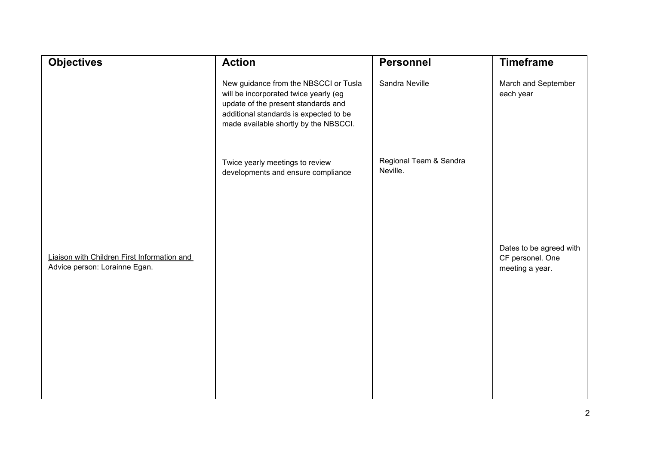| <b>Objectives</b>                                                            | <b>Action</b>                                                                                                                                                                                            | <b>Personnel</b>                   | <b>Timeframe</b>                                               |
|------------------------------------------------------------------------------|----------------------------------------------------------------------------------------------------------------------------------------------------------------------------------------------------------|------------------------------------|----------------------------------------------------------------|
|                                                                              | New guidance from the NBSCCI or Tusla<br>will be incorporated twice yearly (eg<br>update of the present standards and<br>additional standards is expected to be<br>made available shortly by the NBSCCI. | Sandra Neville                     | March and September<br>each year                               |
|                                                                              | Twice yearly meetings to review<br>developments and ensure compliance                                                                                                                                    | Regional Team & Sandra<br>Neville. |                                                                |
| Liaison with Children First Information and<br>Advice person: Lorainne Egan. |                                                                                                                                                                                                          |                                    | Dates to be agreed with<br>CF personel. One<br>meeting a year. |
|                                                                              |                                                                                                                                                                                                          |                                    |                                                                |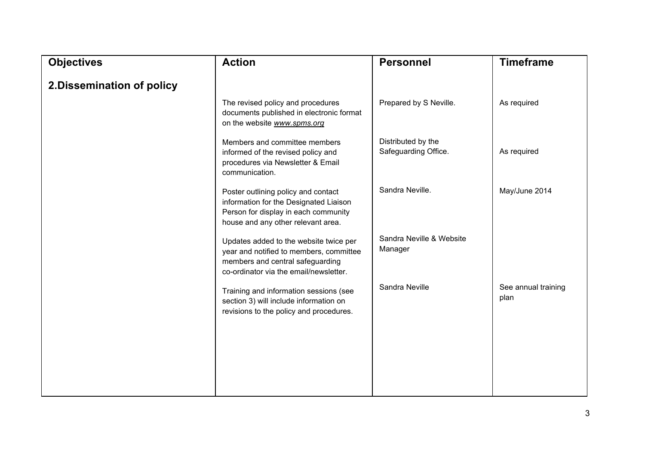| <b>Objectives</b>          | <b>Action</b>                                                                                                                                                   | <b>Personnel</b>                           | <b>Timeframe</b>            |
|----------------------------|-----------------------------------------------------------------------------------------------------------------------------------------------------------------|--------------------------------------------|-----------------------------|
| 2. Dissemination of policy |                                                                                                                                                                 |                                            |                             |
|                            | The revised policy and procedures<br>documents published in electronic format<br>on the website www.spms.org                                                    | Prepared by S Neville.                     | As required                 |
|                            | Members and committee members<br>informed of the revised policy and<br>procedures via Newsletter & Email<br>communication.                                      | Distributed by the<br>Safeguarding Office. | As required                 |
|                            | Poster outlining policy and contact<br>information for the Designated Liaison<br>Person for display in each community<br>house and any other relevant area.     | Sandra Neville.                            | May/June 2014               |
|                            | Updates added to the website twice per<br>year and notified to members, committee<br>members and central safeguarding<br>co-ordinator via the email/newsletter. | Sandra Neville & Website<br>Manager        |                             |
|                            | Training and information sessions (see<br>section 3) will include information on<br>revisions to the policy and procedures.                                     | Sandra Neville                             | See annual training<br>plan |
|                            |                                                                                                                                                                 |                                            |                             |
|                            |                                                                                                                                                                 |                                            |                             |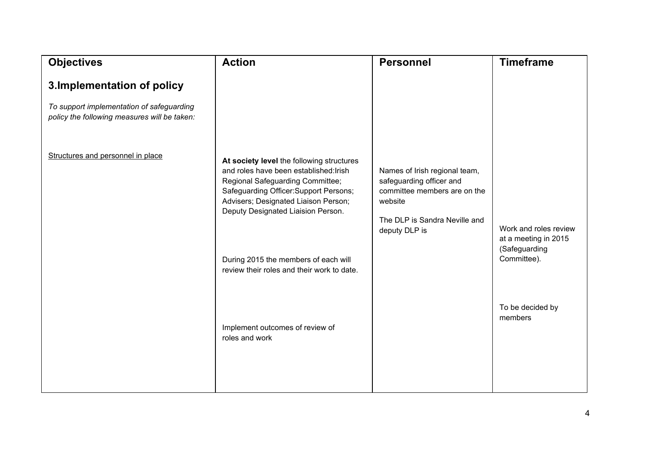| <b>Objectives</b>                                                                                                        | <b>Action</b>                                                                                                                                                                                                                                   | <b>Personnel</b>                                                                                                                                       | <b>Timeframe</b>                                     |
|--------------------------------------------------------------------------------------------------------------------------|-------------------------------------------------------------------------------------------------------------------------------------------------------------------------------------------------------------------------------------------------|--------------------------------------------------------------------------------------------------------------------------------------------------------|------------------------------------------------------|
| 3. Implementation of policy<br>To support implementation of safeguarding<br>policy the following measures will be taken: |                                                                                                                                                                                                                                                 |                                                                                                                                                        |                                                      |
| Structures and personnel in place                                                                                        | At society level the following structures<br>and roles have been established: Irish<br>Regional Safeguarding Committee;<br>Safeguarding Officer: Support Persons;<br>Advisers; Designated Liaison Person;<br>Deputy Designated Liaision Person. | Names of Irish regional team,<br>safeguarding officer and<br>committee members are on the<br>website<br>The DLP is Sandra Neville and<br>deputy DLP is | Work and roles review                                |
|                                                                                                                          | During 2015 the members of each will<br>review their roles and their work to date.                                                                                                                                                              |                                                                                                                                                        | at a meeting in 2015<br>(Safeguarding<br>Committee). |
|                                                                                                                          | Implement outcomes of review of<br>roles and work                                                                                                                                                                                               |                                                                                                                                                        | To be decided by<br>members                          |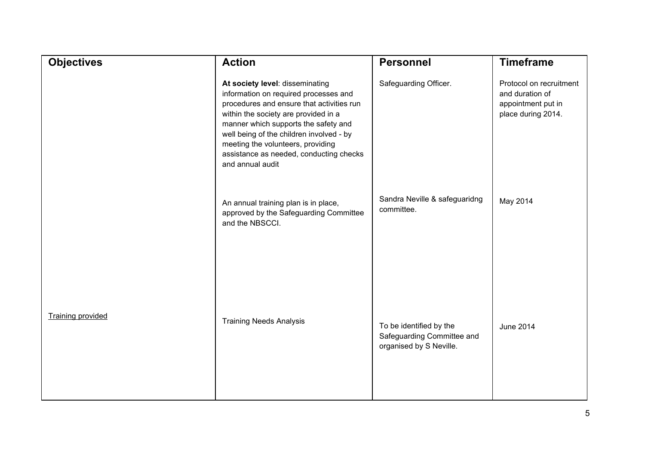| <b>Objectives</b>        | <b>Action</b>                                                                                                                                                                                                                                                                                                                                         | <b>Personnel</b>                                                                 | <b>Timeframe</b>                                                                       |
|--------------------------|-------------------------------------------------------------------------------------------------------------------------------------------------------------------------------------------------------------------------------------------------------------------------------------------------------------------------------------------------------|----------------------------------------------------------------------------------|----------------------------------------------------------------------------------------|
|                          | At society level: disseminating<br>information on required processes and<br>procedures and ensure that activities run<br>within the society are provided in a<br>manner which supports the safety and<br>well being of the children involved - by<br>meeting the volunteers, providing<br>assistance as needed, conducting checks<br>and annual audit | Safeguarding Officer.                                                            | Protocol on recruitment<br>and duration of<br>appointment put in<br>place during 2014. |
|                          | An annual training plan is in place,<br>approved by the Safeguarding Committee<br>and the NBSCCI.                                                                                                                                                                                                                                                     | Sandra Neville & safeguaridng<br>committee.                                      | May 2014                                                                               |
| <b>Training provided</b> | <b>Training Needs Analysis</b>                                                                                                                                                                                                                                                                                                                        | To be identified by the<br>Safeguarding Committee and<br>organised by S Neville. | June 2014                                                                              |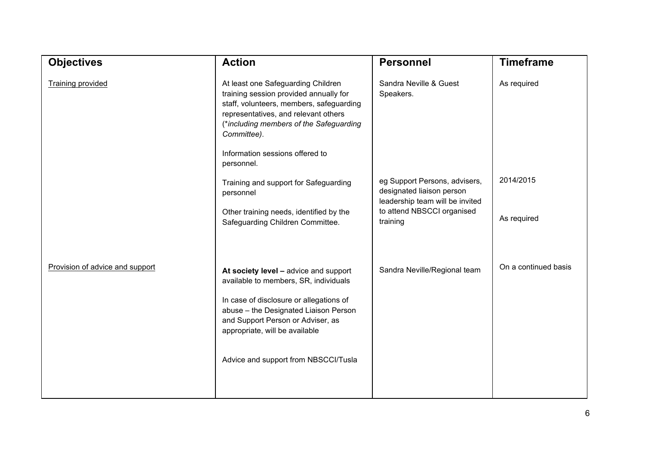| <b>Objectives</b>               | <b>Action</b>                                                                                                                                                                                                                                                               | <b>Personnel</b>                                                                              | <b>Timeframe</b>     |
|---------------------------------|-----------------------------------------------------------------------------------------------------------------------------------------------------------------------------------------------------------------------------------------------------------------------------|-----------------------------------------------------------------------------------------------|----------------------|
| <b>Training provided</b>        | At least one Safeguarding Children<br>training session provided annually for<br>staff, volunteers, members, safeguarding<br>representatives, and relevant others<br>(*including members of the Safeguarding<br>Committee).<br>Information sessions offered to<br>personnel. | Sandra Neville & Guest<br>Speakers.                                                           | As required          |
|                                 | Training and support for Safeguarding<br>personnel                                                                                                                                                                                                                          | eg Support Persons, advisers,<br>designated liaison person<br>leadership team will be invited | 2014/2015            |
|                                 | Other training needs, identified by the<br>Safeguarding Children Committee.                                                                                                                                                                                                 | to attend NBSCCI organised<br>training                                                        | As required          |
| Provision of advice and support | At society level - advice and support<br>available to members, SR, individuals                                                                                                                                                                                              | Sandra Neville/Regional team                                                                  | On a continued basis |
|                                 | In case of disclosure or allegations of<br>abuse - the Designated Liaison Person<br>and Support Person or Adviser, as<br>appropriate, will be available                                                                                                                     |                                                                                               |                      |
|                                 | Advice and support from NBSCCI/Tusla                                                                                                                                                                                                                                        |                                                                                               |                      |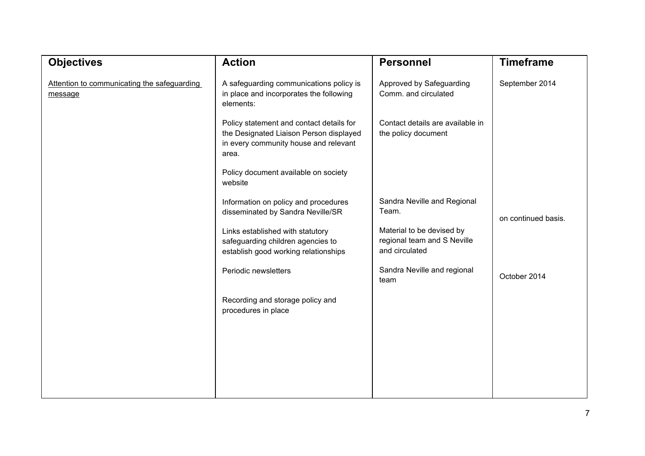| <b>Objectives</b>                                      | <b>Action</b>                                                                                                                         | <b>Personnel</b>                                                           | <b>Timeframe</b>    |
|--------------------------------------------------------|---------------------------------------------------------------------------------------------------------------------------------------|----------------------------------------------------------------------------|---------------------|
| Attention to communicating the safeguarding<br>message | A safeguarding communications policy is<br>in place and incorporates the following<br>elements:                                       | Approved by Safeguarding<br>Comm. and circulated                           | September 2014      |
|                                                        | Policy statement and contact details for<br>the Designated Liaison Person displayed<br>in every community house and relevant<br>area. | Contact details are available in<br>the policy document                    |                     |
|                                                        | Policy document available on society<br>website                                                                                       |                                                                            |                     |
|                                                        | Information on policy and procedures<br>disseminated by Sandra Neville/SR                                                             | Sandra Neville and Regional<br>Team.                                       | on continued basis. |
|                                                        | Links established with statutory<br>safeguarding children agencies to<br>establish good working relationships                         | Material to be devised by<br>regional team and S Neville<br>and circulated |                     |
|                                                        | Periodic newsletters                                                                                                                  | Sandra Neville and regional<br>team                                        | October 2014        |
|                                                        | Recording and storage policy and<br>procedures in place                                                                               |                                                                            |                     |
|                                                        |                                                                                                                                       |                                                                            |                     |
|                                                        |                                                                                                                                       |                                                                            |                     |
|                                                        |                                                                                                                                       |                                                                            |                     |